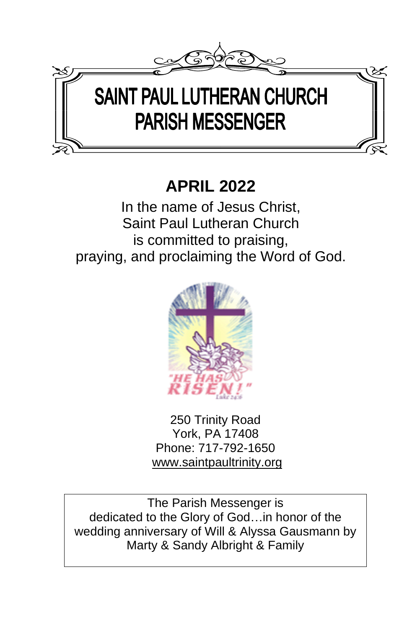

# **APRIL 2022**

In the name of Jesus Christ, Saint Paul Lutheran Church is committed to praising, praying, and proclaiming the Word of God.



250 Trinity Road York, PA 17408 Phone: 717-792-1650 [www.saintpaultrinity.org](http://www.saintpaultrinity.org/)

The Parish Messenger is dedicated to the Glory of God…in honor of the wedding anniversary of Will & Alyssa Gausmann by Marty & Sandy Albright & Family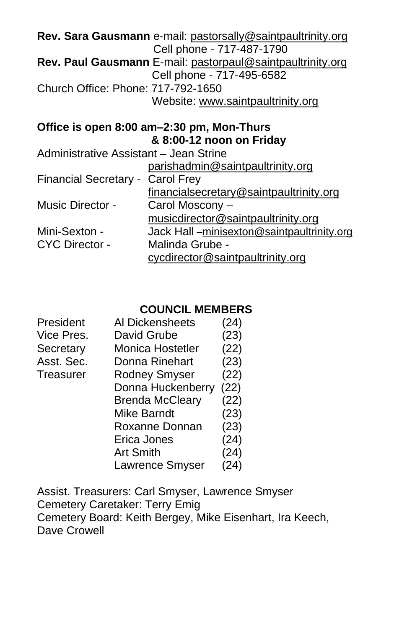|                                        | <b>Rev. Sara Gausmann</b> e-mail: pastorsally@saintpaultrinity.org |
|----------------------------------------|--------------------------------------------------------------------|
|                                        | Cell phone - 717-487-1790                                          |
|                                        | Rev. Paul Gausmann E-mail: pastorpaul@saintpaultrinity.org         |
|                                        | Cell phone - 717-495-6582                                          |
| Church Office: Phone: 717-792-1650     |                                                                    |
|                                        |                                                                    |
|                                        | Website: www.saintpaultrinity.org                                  |
|                                        |                                                                    |
|                                        | Office is open 8:00 am-2:30 pm, Mon-Thurs                          |
|                                        | & 8:00-12 noon on Friday                                           |
| Administrative Assistant - Jean Strine |                                                                    |
|                                        | parishadmin@saintpaultrinity.org                                   |
| Financial Secretary - Carol Frey       |                                                                    |
|                                        | financialsecretary@saintpaultrinity.org                            |
| <b>Music Director -</b>                | Carol Moscony -                                                    |
|                                        | musicdirector@saintpaultrinity.org                                 |
| Mini-Sexton -                          | Jack Hall-minisexton@saintpaultrinity.org                          |
| <b>CYC Director -</b>                  | Malinda Grube -                                                    |
|                                        | cycdirector@saintpaultrinity.org                                   |

### **COUNCIL MEMBERS**

| President  | Al Dickensheets        | (24) |
|------------|------------------------|------|
| Vice Pres. | David Grube            | (23) |
| Secretary  | Monica Hostetler       | (22) |
| Asst. Sec. | Donna Rinehart         | (23) |
| Treasurer  | <b>Rodney Smyser</b>   | (22) |
|            | Donna Huckenberry      | (22) |
|            | <b>Brenda McCleary</b> | (22) |
|            | <b>Mike Barndt</b>     | (23) |
|            | Roxanne Donnan         | (23) |
|            | Erica Jones            | (24) |
|            | <b>Art Smith</b>       | (24) |
|            | Lawrence Smyser        | (24) |
|            |                        |      |

Assist. Treasurers: Carl Smyser, Lawrence Smyser Cemetery Caretaker: Terry Emig Cemetery Board: Keith Bergey, Mike Eisenhart, Ira Keech, Dave Crowell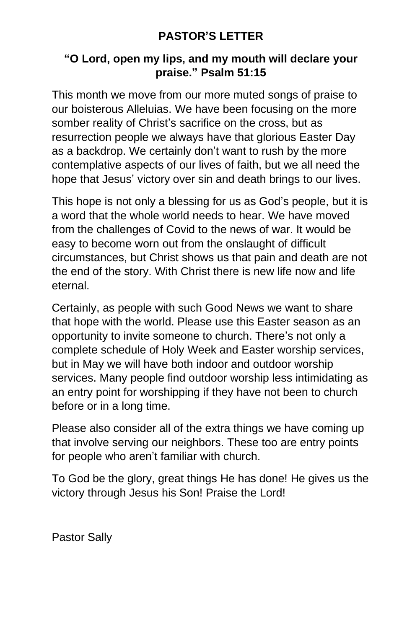### **PASTOR'S LETTER**

### **"O Lord, open my lips, and my mouth will declare your praise." Psalm 51:15**

This month we move from our more muted songs of praise to our boisterous Alleluias. We have been focusing on the more somber reality of Christ's sacrifice on the cross, but as resurrection people we always have that glorious Easter Day as a backdrop. We certainly don't want to rush by the more contemplative aspects of our lives of faith, but we all need the hope that Jesus' victory over sin and death brings to our lives.

This hope is not only a blessing for us as God's people, but it is a word that the whole world needs to hear. We have moved from the challenges of Covid to the news of war. It would be easy to become worn out from the onslaught of difficult circumstances, but Christ shows us that pain and death are not the end of the story. With Christ there is new life now and life eternal.

Certainly, as people with such Good News we want to share that hope with the world. Please use this Easter season as an opportunity to invite someone to church. There's not only a complete schedule of Holy Week and Easter worship services, but in May we will have both indoor and outdoor worship services. Many people find outdoor worship less intimidating as an entry point for worshipping if they have not been to church before or in a long time.

Please also consider all of the extra things we have coming up that involve serving our neighbors. These too are entry points for people who aren't familiar with church.

To God be the glory, great things He has done! He gives us the victory through Jesus his Son! Praise the Lord!

Pastor Sally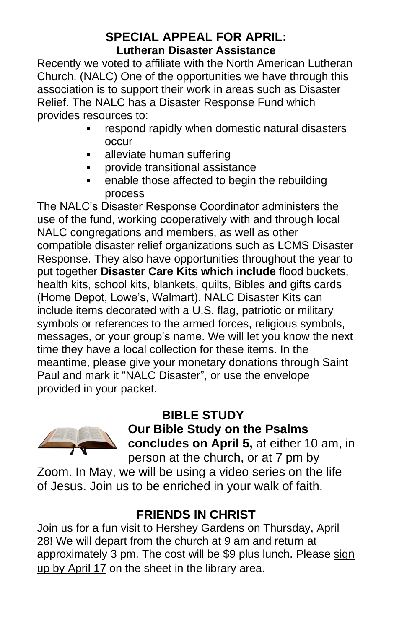### **SPECIAL APPEAL FOR APRIL: Lutheran Disaster Assistance**

Recently we voted to affiliate with the North American Lutheran Church. (NALC) One of the opportunities we have through this association is to support their work in areas such as Disaster Relief. The NALC has a Disaster Response Fund which provides resources to:

- respond rapidly when domestic natural disasters occur
- **E** alleviate human suffering
- provide transitional assistance
- enable those affected to begin the rebuilding process

The NALC's Disaster Response Coordinator administers the use of the fund, working cooperatively with and through local NALC congregations and members, as well as other compatible disaster relief organizations such as LCMS Disaster Response. They also have opportunities throughout the year to put together **Disaster Care Kits which include** flood buckets, health kits, school kits, blankets, quilts, Bibles and gifts cards (Home Depot, Lowe's, Walmart). NALC Disaster Kits can include items decorated with a U.S. flag, patriotic or military symbols or references to the armed forces, religious symbols, messages, or your group's name. We will let you know the next time they have a local collection for these items. In the meantime, please give your monetary donations through Saint Paul and mark it "NALC Disaster", or use the envelope provided in your packet.



# **BIBLE STUDY**

**Our Bible Study on the Psalms** 

**concludes on April 5,** at either 10 am, in person at the church, or at 7 pm by

Zoom. In May, we will be using a video series on the life of Jesus. Join us to be enriched in your walk of faith.

# **FRIENDS IN CHRIST**

Join us for a fun visit to Hershey Gardens on Thursday, April 28! We will depart from the church at 9 am and return at approximately 3 pm. The cost will be \$9 plus lunch. Please sign up by April 17 on the sheet in the library area.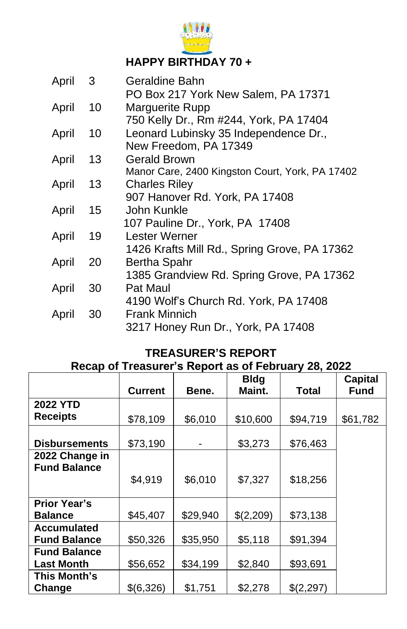

### **HAPPY BIRTHDAY 70 +**

| April | 3               | Geraldine Bahn                                  |
|-------|-----------------|-------------------------------------------------|
|       |                 | PO Box 217 York New Salem, PA 17371             |
| April | 10              | Marguerite Rupp                                 |
|       |                 | 750 Kelly Dr., Rm #244, York, PA 17404          |
| April | 10              | Leonard Lubinsky 35 Independence Dr.,           |
|       |                 | New Freedom, PA 17349                           |
| April | 13              | Gerald Brown                                    |
|       |                 | Manor Care, 2400 Kingston Court, York, PA 17402 |
| April | 13              | <b>Charles Riley</b>                            |
|       |                 | 907 Hanover Rd. York, PA 17408                  |
| April | 15 <sub>1</sub> | John Kunkle                                     |
|       |                 | 107 Pauline Dr., York, PA 17408                 |
| April | 19              | Lester Werner                                   |
|       |                 | 1426 Krafts Mill Rd., Spring Grove, PA 17362    |
| April | 20              | Bertha Spahr                                    |
|       |                 | 1385 Grandview Rd. Spring Grove, PA 17362       |
| April | 30              | Pat Maul                                        |
|       |                 | 4190 Wolf's Church Rd. York, PA 17408           |
| April | 30              | <b>Frank Minnich</b>                            |
|       |                 | 3217 Honey Run Dr., York, PA 17408              |

## **TREASURER'S REPORT**

### **Recap of Treasurer's Report as of February 28, 2022**

|                      |                |          | <b>Bldg</b> |           | Capital  |
|----------------------|----------------|----------|-------------|-----------|----------|
|                      | <b>Current</b> | Bene.    | Maint.      | Total     | Fund     |
| <b>2022 YTD</b>      |                |          |             |           |          |
| <b>Receipts</b>      | \$78,109       | \$6,010  | \$10,600    | \$94,719  | \$61,782 |
|                      |                |          |             |           |          |
| <b>Disbursements</b> | \$73,190       |          | \$3,273     | \$76,463  |          |
| 2022 Change in       |                |          |             |           |          |
| <b>Fund Balance</b>  |                |          |             |           |          |
|                      | \$4,919        | \$6,010  | \$7,327     | \$18,256  |          |
|                      |                |          |             |           |          |
| <b>Prior Year's</b>  |                |          |             |           |          |
| <b>Balance</b>       | \$45,407       | \$29,940 | \$(2,209)   | \$73,138  |          |
| <b>Accumulated</b>   |                |          |             |           |          |
| <b>Fund Balance</b>  | \$50,326       | \$35,950 | \$5,118     | \$91,394  |          |
| <b>Fund Balance</b>  |                |          |             |           |          |
| <b>Last Month</b>    | \$56,652       | \$34,199 | \$2,840     | \$93,691  |          |
| This Month's         |                |          |             |           |          |
| Change               | \$(6,326)      | \$1,751  | \$2,278     | \$(2,297) |          |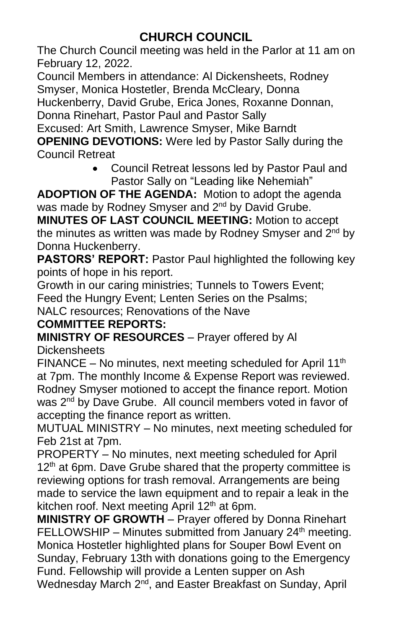The Church Council meeting was held in the Parlor at 11 am on February 12, 2022.

Council Members in attendance: Al Dickensheets, Rodney Smyser, Monica Hostetler, Brenda McCleary, Donna

Huckenberry, David Grube, Erica Jones, Roxanne Donnan, Donna Rinehart, Pastor Paul and Pastor Sally

Excused: Art Smith, Lawrence Smyser, Mike Barndt **OPENING DEVOTIONS:** Were led by Pastor Sally during the Council Retreat

> • Council Retreat lessons led by Pastor Paul and Pastor Sally on "Leading like Nehemiah"

**ADOPTION OF THE AGENDA:** Motion to adopt the agenda was made by Rodney Smyser and 2<sup>nd</sup> by David Grube.

**MINUTES OF LAST COUNCIL MEETING:** Motion to accept the minutes as written was made by Rodney Smyser and 2<sup>nd</sup> by Donna Huckenberry.

**PASTORS' REPORT:** Pastor Paul highlighted the following key points of hope in his report.

Growth in our caring ministries; Tunnels to Towers Event; Feed the Hungry Event; Lenten Series on the Psalms;

NALC resources; Renovations of the Nave

# **COMMITTEE REPORTS:**

**MINISTRY OF RESOURCES** – Prayer offered by Al Dickensheets

FINANCE – No minutes, next meeting scheduled for April 11<sup>th</sup> at 7pm. The monthly Income & Expense Report was reviewed. Rodney Smyser motioned to accept the finance report. Motion was 2<sup>nd</sup> by Dave Grube. All council members voted in favor of accepting the finance report as written.

MUTUAL MINISTRY – No minutes, next meeting scheduled for Feb 21st at 7pm.

PROPERTY – No minutes, next meeting scheduled for April  $12<sup>th</sup>$  at 6pm. Dave Grube shared that the property committee is reviewing options for trash removal. Arrangements are being made to service the lawn equipment and to repair a leak in the kitchen roof. Next meeting April 12<sup>th</sup> at 6pm.

**MINISTRY OF GROWTH** – Prayer offered by Donna Rinehart FELLOWSHIP – Minutes submitted from January  $24<sup>th</sup>$  meeting. Monica Hostetler highlighted plans for Souper Bowl Event on Sunday, February 13th with donations going to the Emergency Fund. Fellowship will provide a Lenten supper on Ash Wednesday March 2<sup>nd</sup>, and Easter Breakfast on Sunday, April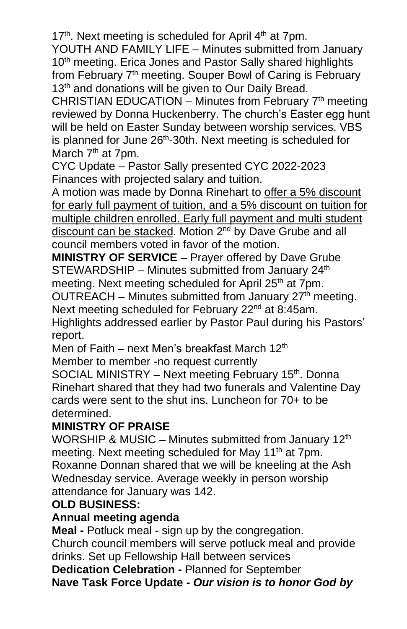17<sup>th</sup>. Next meeting is scheduled for April 4<sup>th</sup> at 7pm.

YOUTH AND FAMILY LIFE – Minutes submitted from January 10<sup>th</sup> meeting. Erica Jones and Pastor Sally shared highlights from February  $7<sup>th</sup>$  meeting. Souper Bowl of Caring is February 13<sup>th</sup> and donations will be given to Our Daily Bread.

CHRISTIAN EDUCATION – Minutes from February  $7<sup>th</sup>$  meeting reviewed by Donna Huckenberry. The church's Easter egg hunt will be held on Easter Sunday between worship services. VBS is planned for June 26<sup>th</sup>-30th. Next meeting is scheduled for March 7<sup>th</sup> at 7pm.

CYC Update – Pastor Sally presented CYC 2022-2023 Finances with projected salary and tuition.

A motion was made by Donna Rinehart to offer a 5% discount for early full payment of tuition, and a 5% discount on tuition for multiple children enrolled. Early full payment and multi student discount can be stacked. Motion 2<sup>nd</sup> by Dave Grube and all council members voted in favor of the motion.

**MINISTRY OF SERVICE** – Prayer offered by Dave Grube STEWARDSHIP – Minutes submitted from January  $24<sup>th</sup>$ meeting. Next meeting scheduled for April 25<sup>th</sup> at 7pm.

OUTREACH – Minutes submitted from January  $27<sup>th</sup>$  meeting.

Next meeting scheduled for February 22<sup>nd</sup> at 8:45am. Highlights addressed earlier by Pastor Paul during his Pastors' report.

Men of Faith – next Men's breakfast March 12<sup>th</sup>

Member to member -no request currently

SOCIAL MINISTRY - Next meeting February 15<sup>th</sup>. Donna Rinehart shared that they had two funerals and Valentine Day cards were sent to the shut ins. Luncheon for 70+ to be determined.

### **MINISTRY OF PRAISE**

WORSHIP & MUSIC – Minutes submitted from January 12<sup>th</sup> meeting. Next meeting scheduled for May  $11<sup>th</sup>$  at 7pm. Roxanne Donnan shared that we will be kneeling at the Ash Wednesday service. Average weekly in person worship attendance for January was 142.

### **OLD BUSINESS:**

### **Annual meeting agenda**

**Meal -** Potluck meal - sign up by the congregation.

Church council members will serve potluck meal and provide drinks. Set up Fellowship Hall between services

**Dedication Celebration -** Planned for September

**Nave Task Force Update -** *Our vision is to honor God by*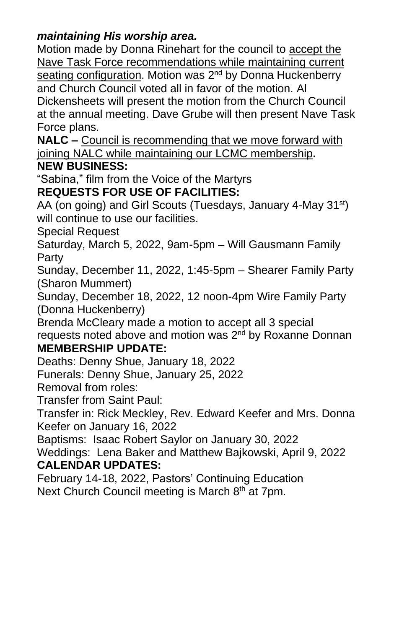### *maintaining His worship area.*

Motion made by Donna Rinehart for the council to accept the Nave Task Force recommendations while maintaining current seating configuration. Motion was 2<sup>nd</sup> by Donna Huckenberry and Church Council voted all in favor of the motion. Al Dickensheets will present the motion from the Church Council at the annual meeting. Dave Grube will then present Nave Task Force plans.

**NALC –** Council is recommending that we move forward with joining NALC while maintaining our LCMC membership**.**

#### **NEW BUSINESS:**

"Sabina," film from the Voice of the Martyrs

### **REQUESTS FOR USE OF FACILITIES:**

AA (on going) and Girl Scouts (Tuesdays, January 4-May 31<sup>st</sup>) will continue to use our facilities.

Special Request

Saturday, March 5, 2022, 9am-5pm – Will Gausmann Family Party

Sunday, December 11, 2022, 1:45-5pm – Shearer Family Party (Sharon Mummert)

Sunday, December 18, 2022, 12 noon-4pm Wire Family Party (Donna Huckenberry)

Brenda McCleary made a motion to accept all 3 special requests noted above and motion was 2<sup>nd</sup> by Roxanne Donnan

### **MEMBERSHIP UPDATE:**

Deaths: Denny Shue, January 18, 2022

Funerals: Denny Shue, January 25, 2022

Removal from roles:

Transfer from Saint Paul:

Transfer in: Rick Meckley, Rev. Edward Keefer and Mrs. Donna Keefer on January 16, 2022

Baptisms: Isaac Robert Saylor on January 30, 2022

Weddings: Lena Baker and Matthew Bajkowski, April 9, 2022 **CALENDAR UPDATES:**

February 14-18, 2022, Pastors' Continuing Education Next Church Council meeting is March 8<sup>th</sup> at 7pm.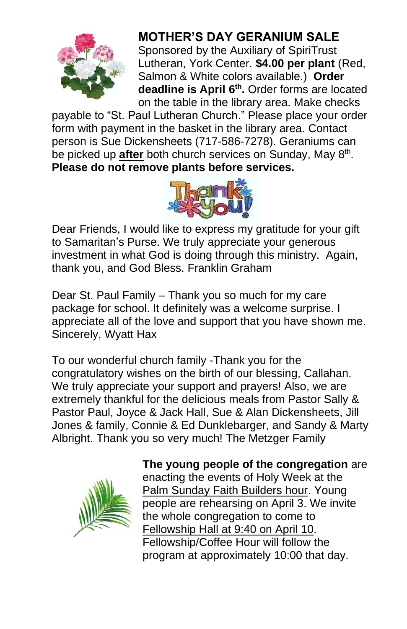

# **MOTHER'S DAY GERANIUM SALE**

Sponsored by the Auxiliary of SpiriTrust Lutheran, York Center. **\$4.00 per plant** (Red, Salmon & White colors available.) **Order deadline is April 6 th .** Order forms are located on the table in the library area. Make checks

payable to "St. Paul Lutheran Church." Please place your order form with payment in the basket in the library area. Contact person is Sue Dickensheets (717-586-7278). Geraniums can be picked up *after* both church services on Sunday, May 8<sup>th</sup>. **Please do not remove plants before services.**



Dear Friends, I would like to express my gratitude for your gift to Samaritan's Purse. We truly appreciate your generous investment in what God is doing through this ministry. Again, thank you, and God Bless. Franklin Graham

Dear St. Paul Family – Thank you so much for my care package for school. It definitely was a welcome surprise. I appreciate all of the love and support that you have shown me. Sincerely, Wyatt Hax

To our wonderful church family -Thank you for the congratulatory wishes on the birth of our blessing, Callahan. We truly appreciate your support and prayers! Also, we are extremely thankful for the delicious meals from Pastor Sally & Pastor Paul, Joyce & Jack Hall, Sue & Alan Dickensheets, Jill Jones & family, Connie & Ed Dunklebarger, and Sandy & Marty Albright. Thank you so very much! The Metzger Family



**The young people of the congregation** are enacting the events of Holy Week at the Palm Sunday Faith Builders hour. Young people are rehearsing on April 3. We invite the whole congregation to come to Fellowship Hall at 9:40 on April 10. Fellowship/Coffee Hour will follow the program at approximately 10:00 that day.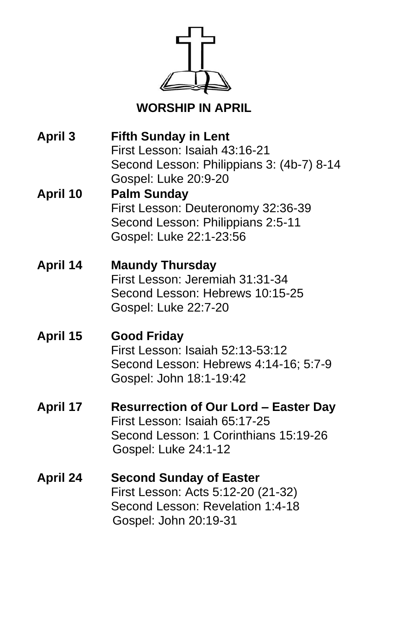

 **WORSHIP IN APRIL**

**April 3 Fifth Sunday in Lent**  First Lesson: Isaiah 43:16-21 Second Lesson: Philippians 3: (4b-7) 8-14 Gospel: Luke 20:9-20

- **April 10 Palm Sunday** First Lesson: Deuteronomy 32:36-39 Second Lesson: Philippians 2:5-11 Gospel: Luke 22:1-23:56
- **April 14 Maundy Thursday**  First Lesson: Jeremiah 31:31-34 Second Lesson: Hebrews 10:15-25 Gospel: Luke 22:7-20
- **April 15 Good Friday**  First Lesson: Isaiah 52:13-53:12 Second Lesson: Hebrews 4:14-16; 5:7-9 Gospel: John 18:1-19:42
- **April 17 Resurrection of Our Lord – Easter Day** First Lesson: Isaiah 65:17-25 Second Lesson: 1 Corinthians 15:19-26 Gospel: Luke 24:1-12
- **April 24 Second Sunday of Easter** First Lesson: Acts 5:12-20 (21-32) Second Lesson: Revelation 1:4-18 Gospel: John 20:19-31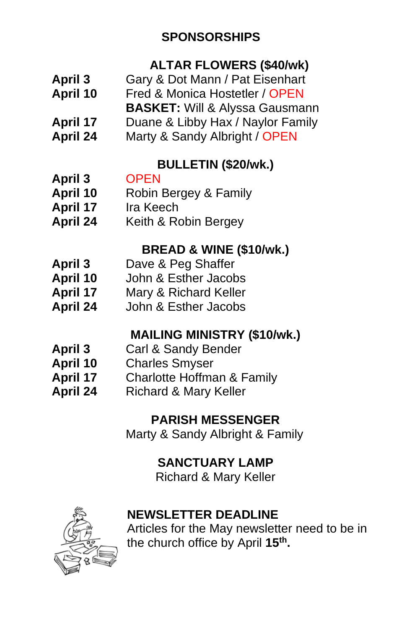# **SPONSORSHIPS**

# **ALTAR FLOWERS (\$40/wk)**

- **April 3** Gary & Dot Mann / Pat Eisenhart **April 10** Fred & Monica Hostetler / OPEN **BASKET:** Will & Alyssa Gausmann **April 17** Duane & Libby Hax / Naylor Family
- **April 24** Marty & Sandy Albright / OPEN

# **BULLETIN (\$20/wk.)**

- **April 3**
- **April 10** Robin Bergey & Family
- **April 17** Ira Keech
- **April 24** Keith & Robin Bergey

### **BREAD & WINE (\$10/wk.)**

- **April 3** Dave & Peg Shaffer
- **April 10** John & Esther Jacobs
- **April 17** Mary & Richard Keller
- **April 24** John & Esther Jacobs

# **MAILING MINISTRY (\$10/wk.)**

- **April 3** Carl & Sandy Bender
- **April 10** Charles Smyser
- **April 17** Charlotte Hoffman & Family
- **April 24** Richard & Mary Keller

### **PARISH MESSENGER**

Marty & Sandy Albright & Family

# **SANCTUARY LAMP**

Richard & Mary Keller

# **NEWSLETTER DEADLINE**



Articles for the May newsletter need to be in the church office by April **15 th .**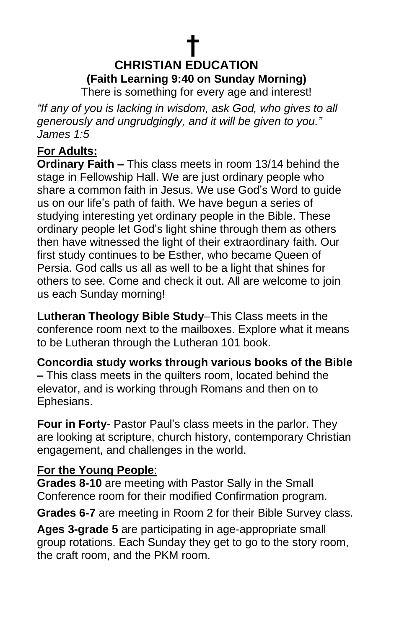# **† CHRISTIAN EDUCATION (Faith Learning 9:40 on Sunday Morning)**

There is something for every age and interest!

*"If any of you is lacking in wisdom, ask God, who gives to all generously and ungrudgingly, and it will be given to you." James 1:5*

### **For Adults:**

**Ordinary Faith –** This class meets in room 13/14 behind the stage in Fellowship Hall. We are just ordinary people who share a common faith in Jesus. We use God's Word to guide us on our life's path of faith. We have begun a series of studying interesting yet ordinary people in the Bible. These ordinary people let God's light shine through them as others then have witnessed the light of their extraordinary faith. Our first study continues to be Esther, who became Queen of Persia. God calls us all as well to be a light that shines for others to see. Come and check it out. All are welcome to join us each Sunday morning!

**Lutheran Theology Bible Study**–This Class meets in the conference room next to the mailboxes. Explore what it means to be Lutheran through the Lutheran 101 book.

**Concordia study works through various books of the Bible**

**–** This class meets in the quilters room, located behind the elevator, and is working through Romans and then on to Ephesians.

**Four in Forty**- Pastor Paul's class meets in the parlor. They are looking at scripture, church history, contemporary Christian engagement, and challenges in the world.

### **For the Young People**:

**Grades 8-10** are meeting with Pastor Sally in the Small Conference room for their modified Confirmation program.

**Grades 6-7** are meeting in Room 2 for their Bible Survey class.

**Ages 3-grade 5** are participating in age-appropriate small group rotations. Each Sunday they get to go to the story room, the craft room, and the PKM room.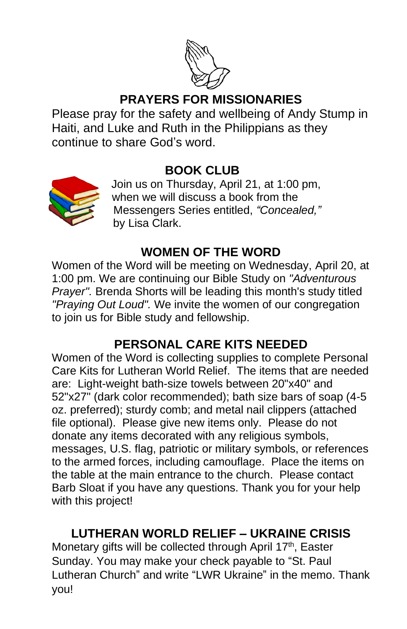

# **PRAYERS FOR MISSIONARIES**

Please pray for the safety and wellbeing of Andy Stump in Haiti, and Luke and Ruth in the Philippians as they continue to share God's word.



### **BOOK CLUB**

Join us on Thursday, April 21, at 1:00 pm, when we will discuss a book from the Messengers Series entitled, *"Concealed,"* by Lisa Clark.

### **WOMEN OF THE WORD**

Women of the Word will be meeting on Wednesday, April 20, at 1:00 pm. We are continuing our Bible Study on *"Adventurous Prayer".* Brenda Shorts will be leading this month's study titled *"Praying Out Loud".* We invite the women of our congregation to join us for Bible study and fellowship.

### **PERSONAL CARE KITS NEEDED**

Women of the Word is collecting supplies to complete Personal Care Kits for Lutheran World Relief. The items that are needed are: Light-weight bath-size towels between 20"x40" and 52"x27" (dark color recommended); bath size bars of soap (4-5 oz. preferred); sturdy comb; and metal nail clippers (attached file optional). Please give new items only. Please do not donate any items decorated with any religious symbols, messages, U.S. flag, patriotic or military symbols, or references to the armed forces, including camouflage. Place the items on the table at the main entrance to the church. Please contact Barb Sloat if you have any questions. Thank you for your help with this project!

### **LUTHERAN WORLD RELIEF – UKRAINE CRISIS**

Monetary gifts will be collected through April 17<sup>th</sup>, Easter Sunday. You may make your check payable to "St. Paul Lutheran Church" and write "LWR Ukraine" in the memo. Thank you!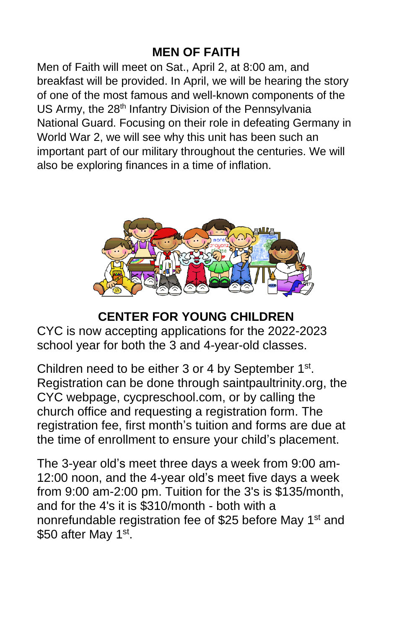# **MEN OF FAITH**

Men of Faith will meet on Sat., April 2, at 8:00 am, and breakfast will be provided. In April, we will be hearing the story of one of the most famous and well-known components of the US Army, the 28<sup>th</sup> Infantry Division of the Pennsylvania National Guard. Focusing on their role in defeating Germany in World War 2, we will see why this unit has been such an important part of our military throughout the centuries. We will also be exploring finances in a time of inflation.



**CENTER FOR YOUNG CHILDREN**

CYC is now accepting applications for the 2022-2023 school year for both the 3 and 4-year-old classes.

Children need to be either 3 or 4 by September 1<sup>st</sup>. Registration can be done through saintpaultrinity.org, the CYC webpage, cycpreschool.com, or by calling the church office and requesting a registration form. The registration fee, first month's tuition and forms are due at the time of enrollment to ensure your child's placement.

The 3-year old's meet three days a week from 9:00 am-12:00 noon, and the 4-year old's meet five days a week from 9:00 am-2:00 pm. Tuition for the 3's is \$135/month, and for the 4's it is \$310/month - both with a nonrefundable registration fee of \$25 before May 1<sup>st</sup> and \$50 after May 1<sup>st</sup>.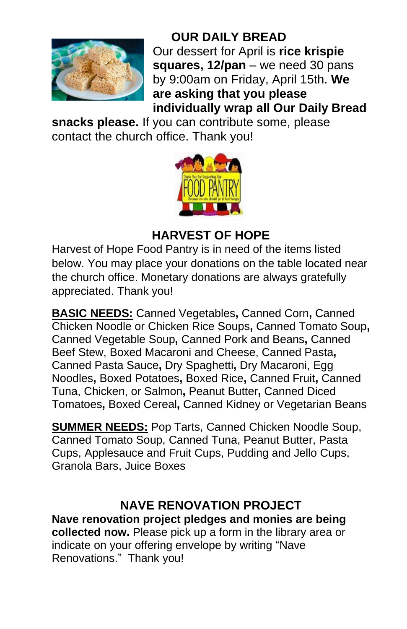

 **OUR DAILY BREAD** Our dessert for April is **rice krispie squares, 12/pan** – we need 30 pans by 9:00am on Friday, April 15th. **We are asking that you please individually wrap all Our Daily Bread** 

**snacks please.** If you can contribute some, please contact the church office. Thank you!



### **HARVEST OF HOPE**

Harvest of Hope Food Pantry is in need of the items listed below. You may place your donations on the table located near the church office. Monetary donations are always gratefully appreciated. Thank you!

**BASIC NEEDS:** Canned Vegetables**,** Canned Corn**,** Canned Chicken Noodle or Chicken Rice Soups**,** Canned Tomato Soup**,**  Canned Vegetable Soup**,** Canned Pork and Beans**,** Canned Beef Stew, Boxed Macaroni and Cheese, Canned Pasta**,**  Canned Pasta Sauce**,** Dry Spaghetti**,** Dry Macaroni, Egg Noodles**,** Boxed Potatoes**,** Boxed Rice**,** Canned Fruit**,** Canned Tuna, Chicken, or Salmon**,** Peanut Butter**,** Canned Diced Tomatoes**,** Boxed Cereal**,** Canned Kidney or Vegetarian Beans

**SUMMER NEEDS:** Pop Tarts, Canned Chicken Noodle Soup, Canned Tomato Soup, Canned Tuna, Peanut Butter, Pasta Cups, Applesauce and Fruit Cups, Pudding and Jello Cups, Granola Bars, Juice Boxes

# **NAVE RENOVATION PROJECT**

**Nave renovation project pledges and monies are being collected now.** Please pick up a form in the library area or indicate on your offering envelope by writing "Nave Renovations." Thank you!